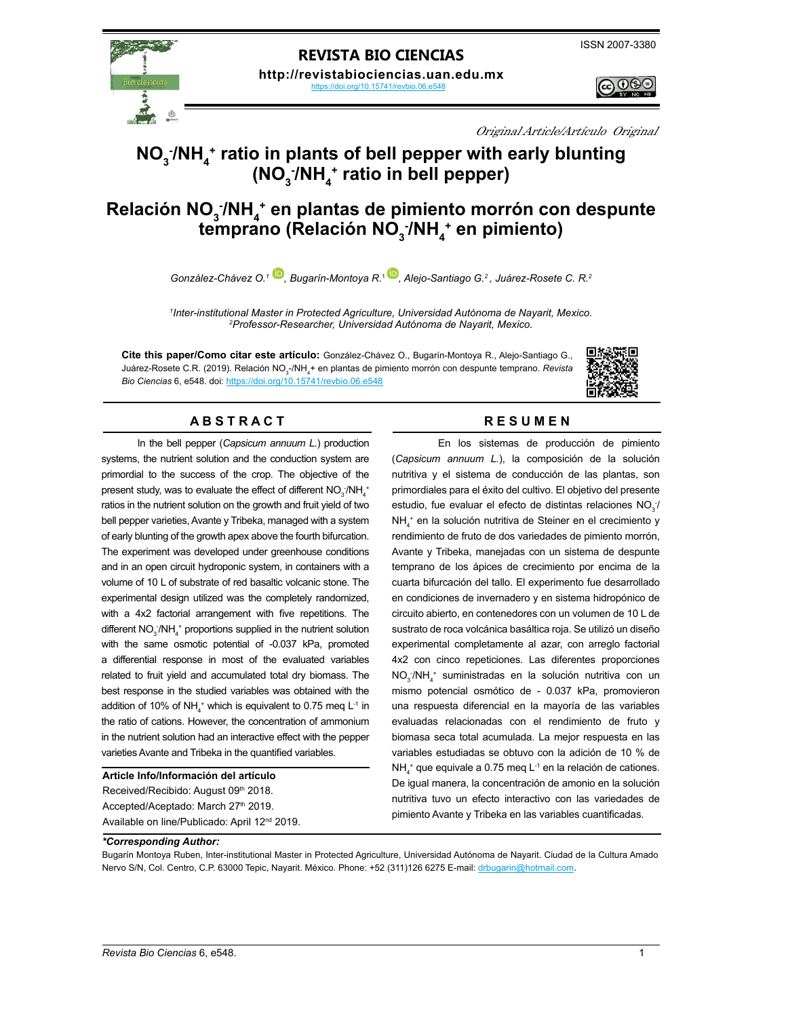

## **REVISTA BIO CIENCIAS**

**http://revistabiociencias.uan.edu.mx**  https://doi.org/10.15741/revbio.06.e548

<u> ල ලෙළ</u>

Original Article/Artículo Original

# **NO**<sub>3</sub>/NH<sub>4</sub><sup>+</sup> ratio in plants of bell pepper with early blunting **(NO3 - /NH4 + ratio in bell pepper)**

# **Relación NO<sub>3</sub>/NH<sub>4</sub><sup>+</sup> en plantas de pimiento morrón con despunte** temprano (Relación NO $_{\tiny 3}$ <sup>-</sup>/NH $_{\tiny 4}^{\tiny +}$  en pimiento)

*González-Chávez O.1 [,](https://orcid.org/0000-0001-9285-3331) Bugarín-Montoya R.*<sup>1</sup>*[,](https://orcid.org/0000-0002-2652-0368) Alejo-Santiago G.2 , Juárez-Rosete C. R.2*

*1 Inter-institutional Master in Protected Agriculture, Universidad Autónoma de Nayarit, Mexico. 2 Professor-Researcher, Universidad Autónoma de Nayarit, Mexico.*

**Cite this paper/Como citar este artículo:** González-Chávez O., Bugarín-Montoya R., Alejo-Santiago G., Juárez-Rosete C.R. (2019). Relación NO<sub>3</sub>-/NH<sub>4</sub>+ en plantas de pimiento morrón con despunte temprano. *Revista Bio Ciencias* 6, e548. doi: <https://doi.org/10.15741/revbio.06.e548>



## A B S T R A C T RESUMEN

In the bell pepper (*Capsicum annuum L.*) production systems, the nutrient solution and the conduction system are primordial to the success of the crop. The objective of the present study, was to evaluate the effect of different  $\mathsf{NO}_{\mathfrak{z}}\text{-}\mathsf{NH}_{\mathfrak{4}}^+$ ratios in the nutrient solution on the growth and fruit yield of two bell pepper varieties, Avante y Tribeka, managed with a system of early blunting of the growth apex above the fourth bifurcation. The experiment was developed under greenhouse conditions and in an open circuit hydroponic system, in containers with a volume of 10 L of substrate of red basaltic volcanic stone. The experimental design utilized was the completely randomized, with a 4x2 factorial arrangement with five repetitions. The different  $\mathsf{NO_3^-/NH_4^+}$  proportions supplied in the nutrient solution with the same osmotic potential of -0.037 kPa, promoted a differential response in most of the evaluated variables related to fruit yield and accumulated total dry biomass. The best response in the studied variables was obtained with the addition of 10% of NH<sub>4</sub><sup>+</sup> which is equivalent to 0.75 meq L<sup>-1</sup> in the ratio of cations. However, the concentration of ammonium in the nutrient solution had an interactive effect with the pepper varieties Avante and Tribeka in the quantified variables.

#### **Article Info/Información del artículo**

Received/Recibido: August 09th 2018. Accepted/Aceptado: March 27th 2019. Available on line/Publicado: April 12nd 2019.

En los sistemas de producción de pimiento (*Capsicum annuum L.*), la composición de la solución nutritiva y el sistema de conducción de las plantas, son primordiales para el éxito del cultivo. El objetivo del presente estudio, fue evaluar el efecto de distintas relaciones  $NO_{3}^{-}$ NH4 + en la solución nutritiva de Steiner en el crecimiento y rendimiento de fruto de dos variedades de pimiento morrón, Avante y Tribeka, manejadas con un sistema de despunte temprano de los ápices de crecimiento por encima de la cuarta bifurcación del tallo. El experimento fue desarrollado en condiciones de invernadero y en sistema hidropónico de circuito abierto, en contenedores con un volumen de 10 L de sustrato de roca volcánica basáltica roja. Se utilizó un diseño experimental completamente al azar, con arreglo factorial 4x2 con cinco repeticiones. Las diferentes proporciones NO<sub>3</sub>/NH<sub>4</sub><sup>+</sup> suministradas en la solución nutritiva con un mismo potencial osmótico de - 0.037 kPa, promovieron una respuesta diferencial en la mayoría de las variables evaluadas relacionadas con el rendimiento de fruto y biomasa seca total acumulada. La mejor respuesta en las variables estudiadas se obtuvo con la adición de 10 % de  $NH<sub>4</sub><sup>+</sup>$  que equivale a 0.75 meq L<sup>-1</sup> en la relación de cationes. De igual manera, la concentración de amonio en la solución nutritiva tuvo un efecto interactivo con las variedades de pimiento Avante y Tribeka en las variables cuantificadas.

#### *\*Corresponding Author:*

Bugarín Montoya Ruben, Inter-institutional Master in Protected Agriculture, Universidad Autónoma de Nayarit. Ciudad de la Cultura Amado Nervo S/N, Col. Centro, C.P. 63000 Tepic, Nayarit. México. Phone: +52 (311)126 6275 E-mail: [drbugarin@hotmail.com](http://drbugarin@hotmail.com).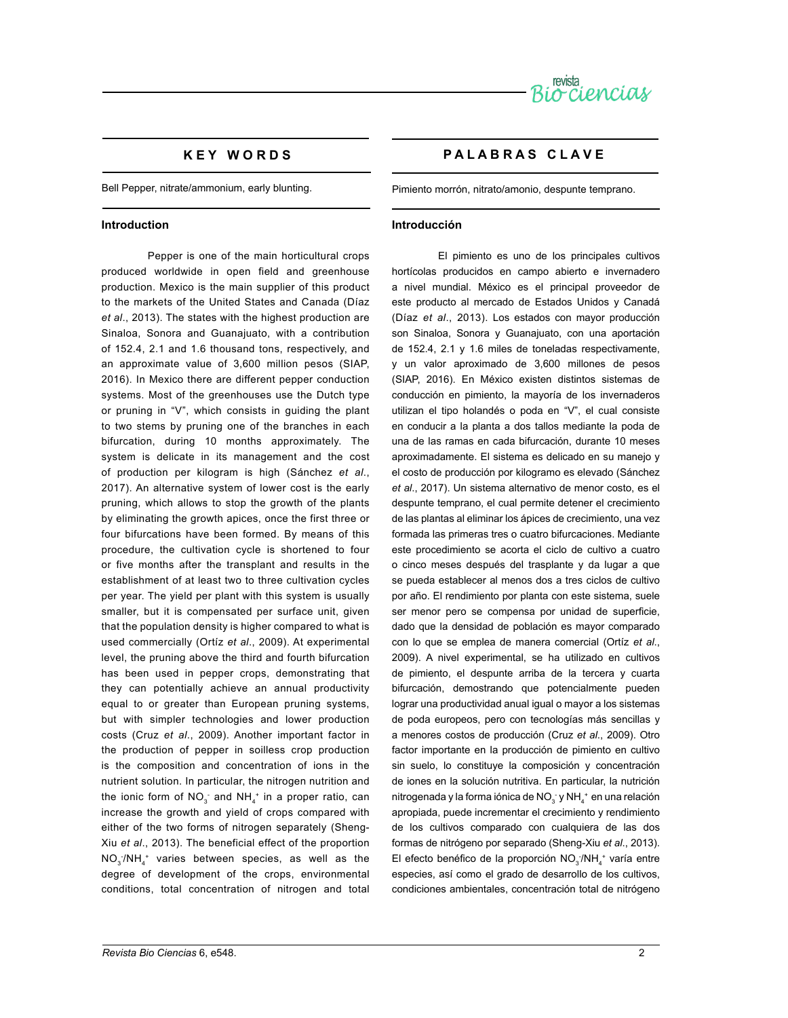

## **K E Y W O R D S**

Bell Pepper, nitrate/ammonium, early blunting.

#### **Introduction**

Pepper is one of the main horticultural crops produced worldwide in open field and greenhouse production. Mexico is the main supplier of this product to the markets of the United States and Canada (Díaz *et al*., 2013). The states with the highest production are Sinaloa, Sonora and Guanajuato, with a contribution of 152.4, 2.1 and 1.6 thousand tons, respectively, and an approximate value of 3,600 million pesos (SIAP, 2016). In Mexico there are different pepper conduction systems. Most of the greenhouses use the Dutch type or pruning in "V", which consists in guiding the plant to two stems by pruning one of the branches in each bifurcation, during 10 months approximately. The system is delicate in its management and the cost of production per kilogram is high (Sánchez *et al*., 2017). An alternative system of lower cost is the early pruning, which allows to stop the growth of the plants by eliminating the growth apices, once the first three or four bifurcations have been formed. By means of this procedure, the cultivation cycle is shortened to four or five months after the transplant and results in the establishment of at least two to three cultivation cycles per year. The yield per plant with this system is usually smaller, but it is compensated per surface unit, given that the population density is higher compared to what is used commercially (Ortíz *et al*., 2009). At experimental level, the pruning above the third and fourth bifurcation has been used in pepper crops, demonstrating that they can potentially achieve an annual productivity equal to or greater than European pruning systems, but with simpler technologies and lower production costs (Cruz *et al*., 2009). Another important factor in the production of pepper in soilless crop production is the composition and concentration of ions in the nutrient solution. In particular, the nitrogen nutrition and the ionic form of  $NO_3^-$  and  $NH_4^+$  in a proper ratio, can increase the growth and yield of crops compared with either of the two forms of nitrogen separately (Sheng-Xiu *et al*., 2013). The beneficial effect of the proportion  $NO_{3}/NH_{4}^{+}$  varies between species, as well as the degree of development of the crops, environmental conditions, total concentration of nitrogen and total

## **P A L A B R A S C L A V E**

Pimiento morrón, nitrato/amonio, despunte temprano.

#### **Introducción**

El pimiento es uno de los principales cultivos hortícolas producidos en campo abierto e invernadero a nivel mundial. México es el principal proveedor de este producto al mercado de Estados Unidos y Canadá (Díaz *et al*., 2013). Los estados con mayor producción son Sinaloa, Sonora y Guanajuato, con una aportación de 152.4, 2.1 y 1.6 miles de toneladas respectivamente, y un valor aproximado de 3,600 millones de pesos (SIAP, 2016). En México existen distintos sistemas de conducción en pimiento, la mayoría de los invernaderos utilizan el tipo holandés o poda en "V", el cual consiste en conducir a la planta a dos tallos mediante la poda de una de las ramas en cada bifurcación, durante 10 meses aproximadamente. El sistema es delicado en su manejo y el costo de producción por kilogramo es elevado (Sánchez *et al*., 2017). Un sistema alternativo de menor costo, es el despunte temprano, el cual permite detener el crecimiento de las plantas al eliminar los ápices de crecimiento, una vez formada las primeras tres o cuatro bifurcaciones. Mediante este procedimiento se acorta el ciclo de cultivo a cuatro o cinco meses después del trasplante y da lugar a que se pueda establecer al menos dos a tres ciclos de cultivo por año. El rendimiento por planta con este sistema, suele ser menor pero se compensa por unidad de superficie, dado que la densidad de población es mayor comparado con lo que se emplea de manera comercial (Ortíz *et al*., 2009). A nivel experimental, se ha utilizado en cultivos de pimiento, el despunte arriba de la tercera y cuarta bifurcación, demostrando que potencialmente pueden lograr una productividad anual igual o mayor a los sistemas de poda europeos, pero con tecnologías más sencillas y a menores costos de producción (Cruz *et al*., 2009). Otro factor importante en la producción de pimiento en cultivo sin suelo, lo constituye la composición y concentración de iones en la solución nutritiva. En particular, la nutrición nitrogenada y la forma iónica de NO<sub>3</sub> y NH<sub>4</sub><sup>+</sup> en una relación apropiada, puede incrementar el crecimiento y rendimiento de los cultivos comparado con cualquiera de las dos formas de nitrógeno por separado (Sheng-Xiu *et al*., 2013). El efecto benéfico de la proporción  $NO_3/NH_4^+$  varía entre especies, así como el grado de desarrollo de los cultivos, condiciones ambientales, concentración total de nitrógeno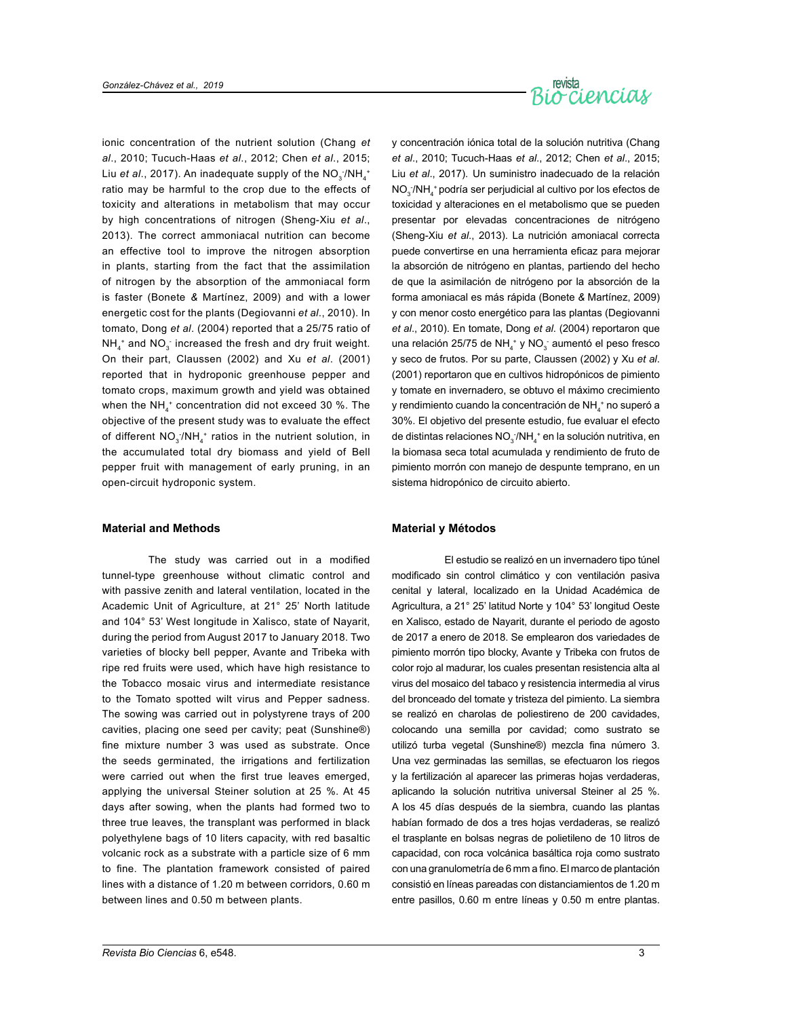

ionic concentration of the nutrient solution (Chang *et al*., 2010; Tucuch-Haas *et al*., 2012; Chen *et al*., 2015; Liu *et al*., 2017). An inadequate supply of the NO<sub>3</sub><sup>-</sup>/NH<sub>4</sub><sup>+</sup> ratio may be harmful to the crop due to the effects of toxicity and alterations in metabolism that may occur by high concentrations of nitrogen (Sheng-Xiu *et al*., 2013). The correct ammoniacal nutrition can become an effective tool to improve the nitrogen absorption in plants, starting from the fact that the assimilation of nitrogen by the absorption of the ammoniacal form is faster (Bonete *&* Martínez, 2009) and with a lower energetic cost for the plants (Degiovanni *et al*., 2010). In tomato, Dong *et al*. (2004) reported that a 25/75 ratio of  $NH_4^+$  and  $NO_3^-$  increased the fresh and dry fruit weight. On their part, Claussen (2002) and Xu *et al*. (2001) reported that in hydroponic greenhouse pepper and tomato crops, maximum growth and yield was obtained when the NH $_4^+$  concentration did not exceed 30 %. The objective of the present study was to evaluate the effect of different  $NO_{3}/NH_{4}^{+}$  ratios in the nutrient solution, in the accumulated total dry biomass and yield of Bell pepper fruit with management of early pruning, in an open-circuit hydroponic system.

#### **Material and Methods**

The study was carried out in a modified tunnel-type greenhouse without climatic control and with passive zenith and lateral ventilation, located in the Academic Unit of Agriculture, at 21° 25' North latitude and 104° 53' West longitude in Xalisco, state of Nayarit, during the period from August 2017 to January 2018. Two varieties of blocky bell pepper, Avante and Tribeka with ripe red fruits were used, which have high resistance to the Tobacco mosaic virus and intermediate resistance to the Tomato spotted wilt virus and Pepper sadness. The sowing was carried out in polystyrene trays of 200 cavities, placing one seed per cavity; peat (Sunshine®) fine mixture number 3 was used as substrate. Once the seeds germinated, the irrigations and fertilization were carried out when the first true leaves emerged, applying the universal Steiner solution at 25 %. At 45 days after sowing, when the plants had formed two to three true leaves, the transplant was performed in black polyethylene bags of 10 liters capacity, with red basaltic volcanic rock as a substrate with a particle size of 6 mm to fine. The plantation framework consisted of paired lines with a distance of 1.20 m between corridors, 0.60 m between lines and 0.50 m between plants.

y concentración iónica total de la solución nutritiva (Chang *et al*., 2010; Tucuch-Haas *et al*., 2012; Chen *et al*., 2015; Liu *et al*., 2017). Un suministro inadecuado de la relación NO<sub>3</sub>/NH<sub>4</sub><sup>+</sup> podría ser perjudicial al cultivo por los efectos de toxicidad y alteraciones en el metabolismo que se pueden presentar por elevadas concentraciones de nitrógeno (Sheng-Xiu *et al*., 2013). La nutrición amoniacal correcta puede convertirse en una herramienta eficaz para mejorar la absorción de nitrógeno en plantas, partiendo del hecho de que la asimilación de nitrógeno por la absorción de la forma amoniacal es más rápida (Bonete *&* Martínez, 2009) y con menor costo energético para las plantas (Degiovanni *et al*., 2010). En tomate, Dong *et al*. (2004) reportaron que una relación 25/75 de NH<sub>4</sub><sup>+</sup> y NO<sub>3</sub><sup>-</sup> aumentó el peso fresco y seco de frutos. Por su parte, Claussen (2002) y Xu *et al*. (2001) reportaron que en cultivos hidropónicos de pimiento y tomate en invernadero, se obtuvo el máximo crecimiento y rendimiento cuando la concentración de NH $_4^+$ no superó a 30%. El objetivo del presente estudio, fue evaluar el efecto de distintas relaciones  $NO_3/NH_4^+$ en la solución nutritiva, en la biomasa seca total acumulada y rendimiento de fruto de pimiento morrón con manejo de despunte temprano, en un sistema hidropónico de circuito abierto.

#### **Material y Métodos**

El estudio se realizó en un invernadero tipo túnel modificado sin control climático y con ventilación pasiva cenital y lateral, localizado en la Unidad Académica de Agricultura, a 21° 25' latitud Norte y 104° 53' longitud Oeste en Xalisco, estado de Nayarit, durante el periodo de agosto de 2017 a enero de 2018. Se emplearon dos variedades de pimiento morrón tipo blocky, Avante y Tribeka con frutos de color rojo al madurar, los cuales presentan resistencia alta al virus del mosaico del tabaco y resistencia intermedia al virus del bronceado del tomate y tristeza del pimiento. La siembra se realizó en charolas de poliestireno de 200 cavidades, colocando una semilla por cavidad; como sustrato se utilizó turba vegetal (Sunshine®) mezcla fina número 3. Una vez germinadas las semillas, se efectuaron los riegos y la fertilización al aparecer las primeras hojas verdaderas, aplicando la solución nutritiva universal Steiner al 25 %. A los 45 días después de la siembra, cuando las plantas habían formado de dos a tres hojas verdaderas, se realizó el trasplante en bolsas negras de polietileno de 10 litros de capacidad, con roca volcánica basáltica roja como sustrato con una granulometría de 6 mm a fino. El marco de plantación consistió en líneas pareadas con distanciamientos de 1.20 m entre pasillos, 0.60 m entre líneas y 0.50 m entre plantas.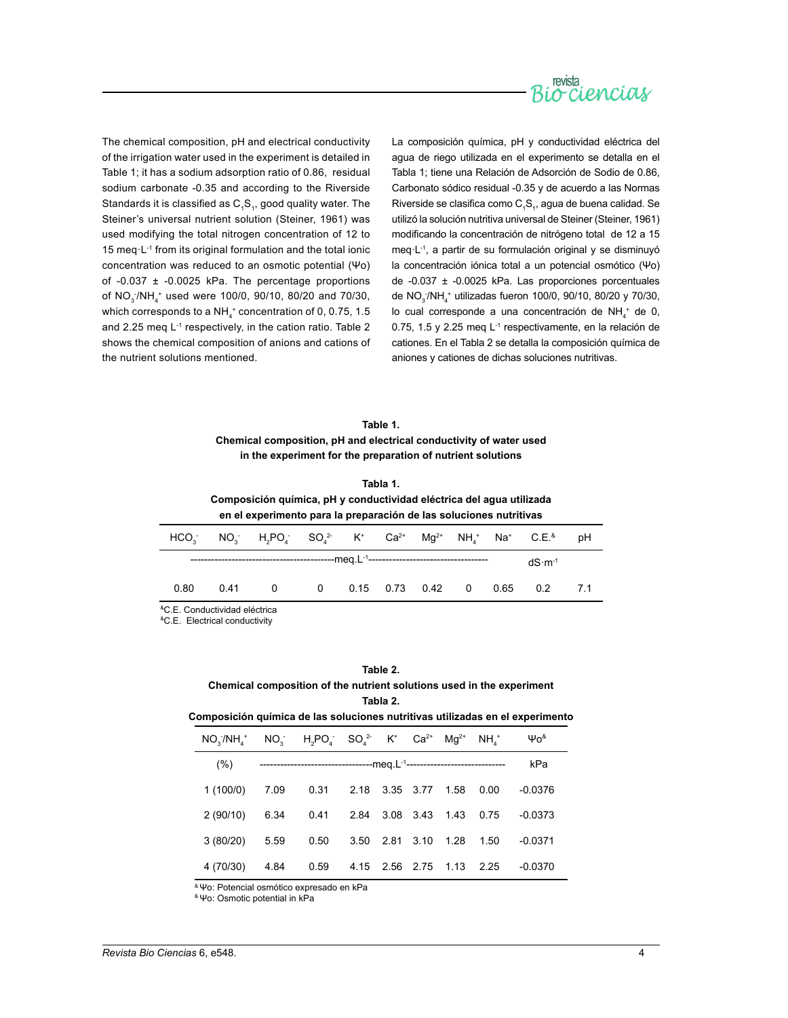

The chemical composition, pH and electrical conductivity of the irrigation water used in the experiment is detailed in Table 1; it has a sodium adsorption ratio of 0.86, residual sodium carbonate -0.35 and according to the Riverside Standards it is classified as  $C_1S_1$ , good quality water. The Steiner's universal nutrient solution (Steiner, 1961) was used modifying the total nitrogen concentration of 12 to 15 meq·L-1 from its original formulation and the total ionic concentration was reduced to an osmotic potential (Ψo) of -0.037 ± -0.0025 kPa. The percentage proportions of NO<sub>3</sub> $/NH_4$ <sup>+</sup> used were 100/0, 90/10, 80/20 and 70/30, which corresponds to a NH $_4^{\ast}$  concentration of 0, 0.75, 1.5 and 2.25 meq L<sup>-1</sup> respectively, in the cation ratio. Table 2 shows the chemical composition of anions and cations of the nutrient solutions mentioned.

La composición química, pH y conductividad eléctrica del agua de riego utilizada en el experimento se detalla en el Tabla 1; tiene una Relación de Adsorción de Sodio de 0.86, Carbonato sódico residual -0.35 y de acuerdo a las Normas Riverside se clasifica como  $C_1S_1$ , agua de buena calidad. Se utilizó la solución nutritiva universal de Steiner (Steiner, 1961) modificando la concentración de nitrógeno total de 12 a 15 meq·L-1, a partir de su formulación original y se disminuyó la concentración iónica total a un potencial osmótico (Ψo) de -0.037 ± -0.0025 kPa. Las proporciones porcentuales de NO<sub>3</sub>/NH<sub>4</sub><sup>+</sup> utilizadas fueron 100/0, 90/10, 80/20 y 70/30, lo cual corresponde a una concentración de  $NH_4^+$  de 0, 0.75, 1.5 y 2.25 meq L-1 respectivamente, en la relación de cationes. En el Tabla 2 se detalla la composición química de aniones y cationes de dichas soluciones nutritivas.

## **Table 1. Chemical composition, pH and electrical conductivity of water used in the experiment for the preparation of nutrient solutions**

| Tabla 1.                                                             |
|----------------------------------------------------------------------|
| Composición química, pH y conductividad eléctrica del aqua utilizada |
| en el experimento para la preparación de las soluciones nutritivas   |

|                                                                              |  | $HCO_3$ NO <sub>3</sub> H <sub>2</sub> PO <sub>4</sub> SO <sub>4</sub> <sup>2</sup> K <sup>+</sup> Ca <sup>2+</sup> Mg <sup>2+</sup> NH <sub>4</sub> <sup>+</sup> Na <sup>+</sup> C.E. <sup>8</sup> pH |  |  |  |  |  |          |  |
|------------------------------------------------------------------------------|--|--------------------------------------------------------------------------------------------------------------------------------------------------------------------------------------------------------|--|--|--|--|--|----------|--|
|                                                                              |  |                                                                                                                                                                                                        |  |  |  |  |  | $dS·m-1$ |  |
| 0.80                                                                         |  | 0.41  0  0  0.15  0.73  0.42  0  0.65  0.2  7.1                                                                                                                                                        |  |  |  |  |  |          |  |
| $\mathbf{R} \cap \mathbf{R}$ . The set of the set of the set of $\mathbf{R}$ |  |                                                                                                                                                                                                        |  |  |  |  |  |          |  |

onductividad elé

&C.E. Electrical conductivity

#### **Table 2.**

#### **Chemical composition of the nutrient solutions used in the experiment Tabla 2.**

**Composición química de las soluciones nutritivas utilizadas en el experimento**

| $NO_{3} / NH_{4}^{+}$ $NO_{3}^{+}$ $H_{2}PO_{4}^{-}$ $SO_{4}^{2-}$ $K^{+}$ $Ca^{2+}$ $Mg^{2+}$ $NH_{4}^{+}$ |                                                                                        |  |  | Ψο <sup>&amp;</sup> |
|-------------------------------------------------------------------------------------------------------------|----------------------------------------------------------------------------------------|--|--|---------------------|
| (% )                                                                                                        | -------------------------------------meg.L <sup>-1</sup> ----------------------------- |  |  | kPa                 |
| 1(100/0) 7.09  0.31  2.18  3.35  3.77  1.58  0.00                                                           |                                                                                        |  |  | $-0.0376$           |
| 2 (90/10) 6.34 0.41 2.84 3.08 3.43 1.43 0.75                                                                |                                                                                        |  |  | $-0.0373$           |
| $3(80/20)$ 5.59                                                                                             | 0.50 3.50 2.81 3.10 1.28 1.50                                                          |  |  | $-0.0371$           |
| 4 (70/30) 4.84                                                                                              | 0.59  4.15  2.56  2.75  1.13  2.25                                                     |  |  | $-0.0370$           |

& Ψo: Potencial osmótico expresado en kPa

& Ψo: Osmotic potential in kPa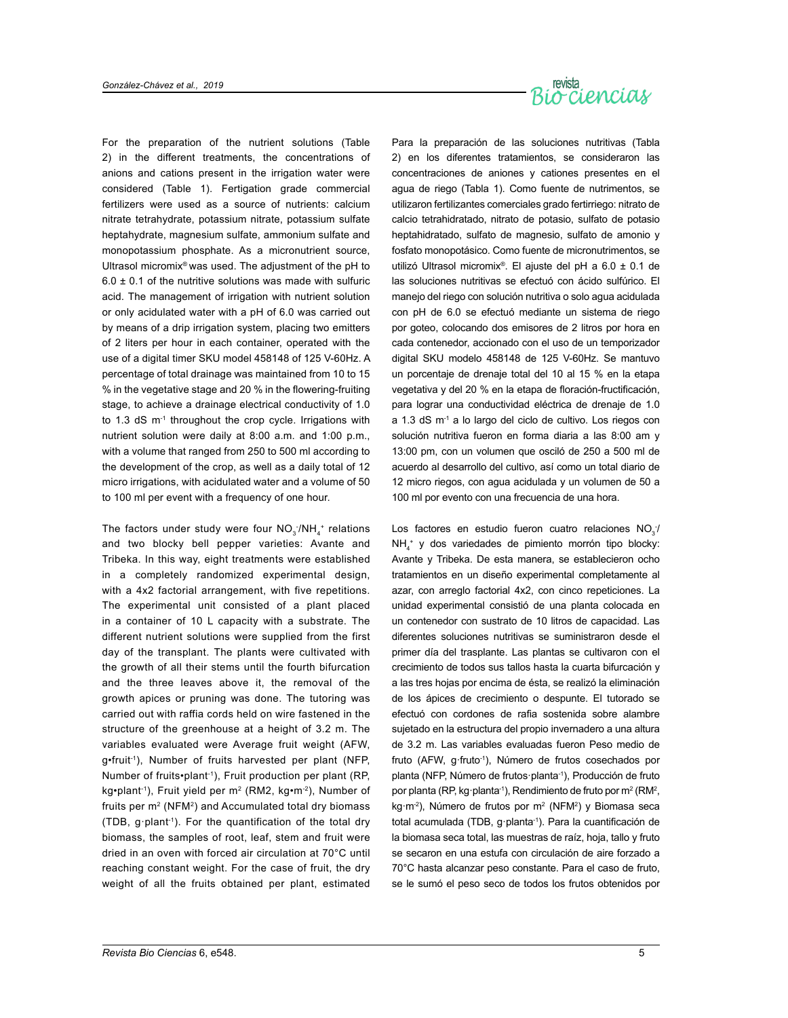

For the preparation of the nutrient solutions (Table 2) in the different treatments, the concentrations of anions and cations present in the irrigation water were considered (Table 1). Fertigation grade commercial fertilizers were used as a source of nutrients: calcium nitrate tetrahydrate, potassium nitrate, potassium sulfate heptahydrate, magnesium sulfate, ammonium sulfate and monopotassium phosphate. As a micronutrient source, Ultrasol micromix® was used. The adjustment of the pH to  $6.0 \pm 0.1$  of the nutritive solutions was made with sulfuric acid. The management of irrigation with nutrient solution or only acidulated water with a pH of 6.0 was carried out by means of a drip irrigation system, placing two emitters of 2 liters per hour in each container, operated with the use of a digital timer SKU model 458148 of 125 V-60Hz. A percentage of total drainage was maintained from 10 to 15 % in the vegetative stage and 20 % in the flowering-fruiting stage, to achieve a drainage electrical conductivity of 1.0 to 1.3 dS m-1 throughout the crop cycle. Irrigations with nutrient solution were daily at 8:00 a.m. and 1:00 p.m., with a volume that ranged from 250 to 500 ml according to the development of the crop, as well as a daily total of 12 micro irrigations, with acidulated water and a volume of 50 to 100 ml per event with a frequency of one hour.

The factors under study were four  $NO_{3}^{-}/NH_{4}^{+}$  relations and two blocky bell pepper varieties: Avante and Tribeka. In this way, eight treatments were established in a completely randomized experimental design, with a 4x2 factorial arrangement, with five repetitions. The experimental unit consisted of a plant placed in a container of 10 L capacity with a substrate. The different nutrient solutions were supplied from the first day of the transplant. The plants were cultivated with the growth of all their stems until the fourth bifurcation and the three leaves above it, the removal of the growth apices or pruning was done. The tutoring was carried out with raffia cords held on wire fastened in the structure of the greenhouse at a height of 3.2 m. The variables evaluated were Average fruit weight (AFW, g•fruit-1), Number of fruits harvested per plant (NFP, Number of fruits•plant-1), Fruit production per plant (RP, kg•plant<sup>-1</sup>), Fruit yield per m<sup>2</sup> (RM2, kg•m<sup>-2</sup>), Number of fruits per  $m<sup>2</sup>$  (NFM<sup>2</sup>) and Accumulated total dry biomass (TDB, g·plant-1). For the quantification of the total dry biomass, the samples of root, leaf, stem and fruit were dried in an oven with forced air circulation at 70°C until reaching constant weight. For the case of fruit, the dry weight of all the fruits obtained per plant, estimated

Para la preparación de las soluciones nutritivas (Tabla 2) en los diferentes tratamientos, se consideraron las concentraciones de aniones y cationes presentes en el agua de riego (Tabla 1). Como fuente de nutrimentos, se utilizaron fertilizantes comerciales grado fertirriego: nitrato de calcio tetrahidratado, nitrato de potasio, sulfato de potasio heptahidratado, sulfato de magnesio, sulfato de amonio y fosfato monopotásico. Como fuente de micronutrimentos, se utilizó Ultrasol micromix®. El ajuste del pH a 6.0 ± 0.1 de las soluciones nutritivas se efectuó con ácido sulfúrico. El manejo del riego con solución nutritiva o solo agua acidulada con pH de 6.0 se efectuó mediante un sistema de riego por goteo, colocando dos emisores de 2 litros por hora en cada contenedor, accionado con el uso de un temporizador digital SKU modelo 458148 de 125 V-60Hz. Se mantuvo un porcentaje de drenaje total del 10 al 15 % en la etapa vegetativa y del 20 % en la etapa de floración-fructificación, para lograr una conductividad eléctrica de drenaje de 1.0 a 1.3 dS m-1 a lo largo del ciclo de cultivo. Los riegos con solución nutritiva fueron en forma diaria a las 8:00 am y 13:00 pm, con un volumen que osciló de 250 a 500 ml de acuerdo al desarrollo del cultivo, así como un total diario de 12 micro riegos, con agua acidulada y un volumen de 50 a 100 ml por evento con una frecuencia de una hora.

Los factores en estudio fueron cuatro relaciones  $NO_{3}^{-}$ NH4 + y dos variedades de pimiento morrón tipo blocky: Avante y Tribeka. De esta manera, se establecieron ocho tratamientos en un diseño experimental completamente al azar, con arreglo factorial 4x2, con cinco repeticiones. La unidad experimental consistió de una planta colocada en un contenedor con sustrato de 10 litros de capacidad. Las diferentes soluciones nutritivas se suministraron desde el primer día del trasplante. Las plantas se cultivaron con el crecimiento de todos sus tallos hasta la cuarta bifurcación y a las tres hojas por encima de ésta, se realizó la eliminación de los ápices de crecimiento o despunte. El tutorado se efectuó con cordones de rafia sostenida sobre alambre sujetado en la estructura del propio invernadero a una altura de 3.2 m. Las variables evaluadas fueron Peso medio de fruto (AFW, g·fruto-1), Número de frutos cosechados por planta (NFP, Número de frutos·planta-1), Producción de fruto por planta (RP, kg·planta<sup>-1</sup>), Rendimiento de fruto por m<sup>2</sup> (RM<sup>2</sup>, kg·m<sup>-2</sup>), Número de frutos por m<sup>2</sup> (NFM<sup>2</sup>) y Biomasa seca total acumulada (TDB, g·planta<sup>-1</sup>). Para la cuantificación de la biomasa seca total, las muestras de raíz, hoja, tallo y fruto se secaron en una estufa con circulación de aire forzado a 70°C hasta alcanzar peso constante. Para el caso de fruto, se le sumó el peso seco de todos los frutos obtenidos por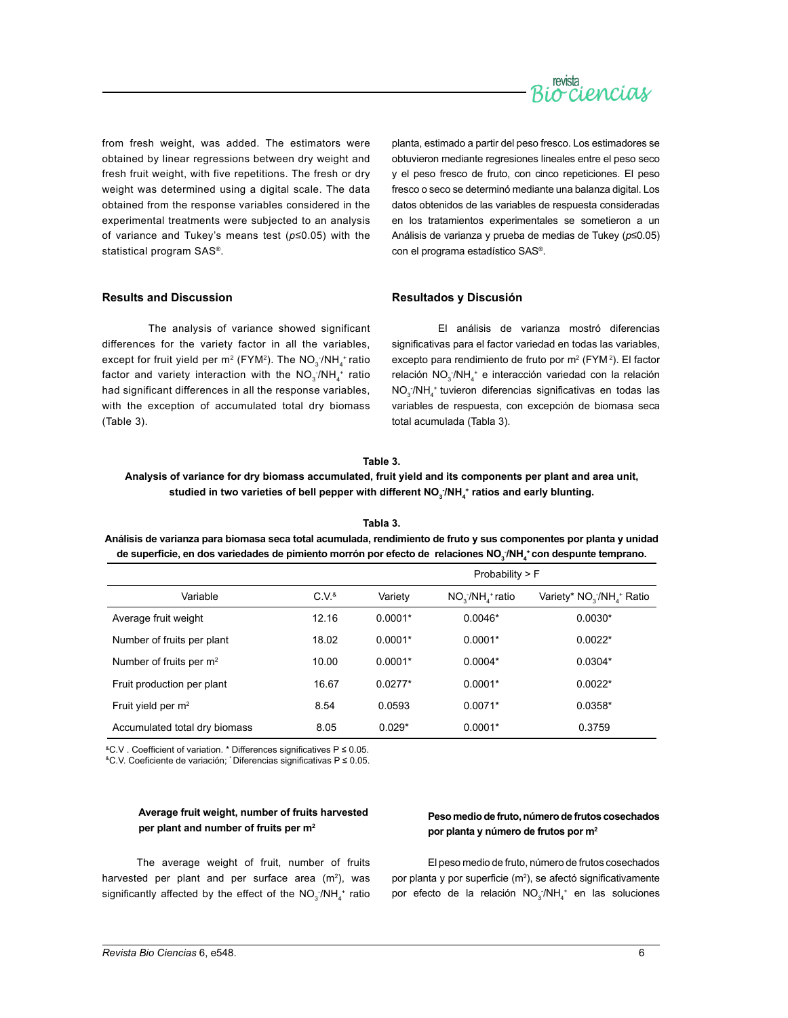

from fresh weight, was added. The estimators were obtained by linear regressions between dry weight and fresh fruit weight, with five repetitions. The fresh or dry weight was determined using a digital scale. The data obtained from the response variables considered in the experimental treatments were subjected to an analysis of variance and Tukey's means test (*p*≤0.05) with the statistical program SAS®.

planta, estimado a partir del peso fresco. Los estimadores se obtuvieron mediante regresiones lineales entre el peso seco y el peso fresco de fruto, con cinco repeticiones. El peso fresco o seco se determinó mediante una balanza digital. Los datos obtenidos de las variables de respuesta consideradas en los tratamientos experimentales se sometieron a un Análisis de varianza y prueba de medias de Tukey (*p*≤0.05) con el programa estadístico SAS®.

## **Results and Discussion**

The analysis of variance showed significant differences for the variety factor in all the variables, except for fruit yield per m<sup>2</sup> (FYM<sup>2</sup>). The NO<sub>3</sub>:/NH<sub>4</sub>+ ratio factor and variety interaction with the  $\mathsf{NO}_{3}/\mathsf{NH}_{4}^+$  ratio had significant differences in all the response variables, with the exception of accumulated total dry biomass (Table 3).

#### **Resultados y Discusión**

El análisis de varianza mostró diferencias significativas para el factor variedad en todas las variables, excepto para rendimiento de fruto por  $m^2$  (FYM<sup>2</sup>). El factor relación  $NO_{3}/NH_{4}$  e interacción variedad con la relación  $NO<sub>3</sub> / NH<sub>4</sub>$  tuvieron diferencias significativas en todas las variables de respuesta, con excepción de biomasa seca total acumulada (Tabla 3).

#### **Table 3.**

## **Analysis of variance for dry biomass accumulated, fruit yield and its components per plant and area unit,**  studied in two varieties of bell pepper with different NO<sub>3</sub><sup>.</sup>/NH<sub>4</sub>\* ratios and early blunting.

**Tabla 3. Análisis de varianza para biomasa seca total acumulada, rendimiento de fruto y sus componentes por planta y unidad de superficie, en dos variedades de pimiento morrón por efecto de relaciones NO<sup>3</sup> - /NH4 <sup>+</sup> con despunte temprano.**

|                                     |                  | Probability $>$ F |                 |                                                   |  |
|-------------------------------------|------------------|-------------------|-----------------|---------------------------------------------------|--|
| Variable                            | C.V <sup>8</sup> | Variety           | $NOs/NHs$ ratio | Variety* NO <sub>3</sub> /NH <sub>4</sub> + Ratio |  |
| Average fruit weight                | 12.16            | $0.0001*$         | $0.0046*$       | $0.0030*$                                         |  |
| Number of fruits per plant          | 18.02            | $0.0001*$         | $0.0001*$       | $0.0022*$                                         |  |
| Number of fruits per m <sup>2</sup> | 10.00            | $0.0001*$         | $0.0004*$       | $0.0304*$                                         |  |
| Fruit production per plant          | 16.67            | $0.0277*$         | $0.0001*$       | $0.0022*$                                         |  |
| Fruit yield per $m2$                | 8.54             | 0.0593            | $0.0071*$       | $0.0358*$                                         |  |
| Accumulated total dry biomass       | 8.05             | $0.029*$          | $0.0001*$       | 0.3759                                            |  |

&C.V . Coefficient of variation. \* Differences significatives P ≤ 0.05.

&C.V. Coeficiente de variación; \* Diferencias significativas P ≤ 0.05.

## **Average fruit weight, number of fruits harvested per plant and number of fruits per m2**

The average weight of fruit, number of fruits harvested per plant and per surface area  $(m<sup>2</sup>)$ , was significantly affected by the effect of the  $NO_{3}/NH_{4}$ <sup>+</sup> ratio

#### **Peso medio de fruto, número de frutos cosechados por planta y número de frutos por m2**

El peso medio de fruto, número de frutos cosechados por planta y por superficie  $(m<sup>2</sup>)$ , se afectó significativamente por efecto de la relación  $NO_3/NH_4^+$  en las soluciones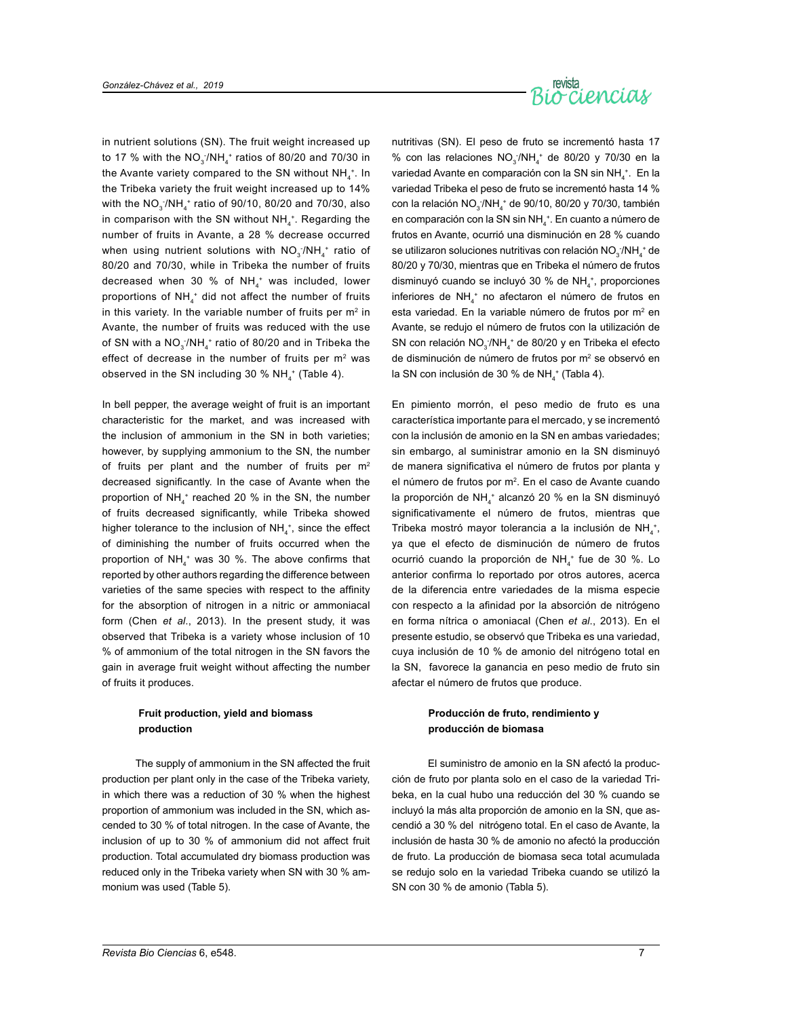

in nutrient solutions (SN). The fruit weight increased up to 17 % with the  $NO_3^-/NH_4^+$  ratios of 80/20 and 70/30 in the Avante variety compared to the SN without  $NH_4^*$ . In the Tribeka variety the fruit weight increased up to 14% with the NO $_3$ <sup>-</sup>/NH $_4^{\,+}$  ratio of 90/10, 80/20 and 70/30, also in comparison with the SN without  $NH_4^+$ . Regarding the number of fruits in Avante, a 28 % decrease occurred when using nutrient solutions with  $NO_{3}/NH_{4}^{+}$  ratio of 80/20 and 70/30, while in Tribeka the number of fruits decreased when 30 % of NH $_4^+$  was included, lower proportions of NH $_4^+$  did not affect the number of fruits in this variety. In the variable number of fruits per  $m<sup>2</sup>$  in Avante, the number of fruits was reduced with the use of SN with a NO $_3$ /NH $_4^+$  ratio of 80/20 and in Tribeka the effect of decrease in the number of fruits per m<sup>2</sup> was observed in the SN including 30 %  $NH_4^+$  (Table 4).

In bell pepper, the average weight of fruit is an important characteristic for the market, and was increased with the inclusion of ammonium in the SN in both varieties; however, by supplying ammonium to the SN, the number of fruits per plant and the number of fruits per  $m<sup>2</sup>$ decreased significantly. In the case of Avante when the proportion of  $NH_4^+$  reached 20 % in the SN, the number of fruits decreased significantly, while Tribeka showed higher tolerance to the inclusion of  $NH<sub>4</sub>$ <sup>+</sup>, since the effect of diminishing the number of fruits occurred when the proportion of  $NH_4^+$  was 30 %. The above confirms that reported by other authors regarding the difference between varieties of the same species with respect to the affinity for the absorption of nitrogen in a nitric or ammoniacal form (Chen *et al*., 2013). In the present study, it was observed that Tribeka is a variety whose inclusion of 10 % of ammonium of the total nitrogen in the SN favors the gain in average fruit weight without affecting the number of fruits it produces.

## **Fruit production, yield and biomass production**

The supply of ammonium in the SN affected the fruit production per plant only in the case of the Tribeka variety, in which there was a reduction of 30 % when the highest proportion of ammonium was included in the SN, which ascended to 30 % of total nitrogen. In the case of Avante, the inclusion of up to 30 % of ammonium did not affect fruit production. Total accumulated dry biomass production was reduced only in the Tribeka variety when SN with 30 % ammonium was used (Table 5).

nutritivas (SN). El peso de fruto se incrementó hasta 17 % con las relaciones  $NO_3/NH_4^+$  de 80/20 y 70/30 en la variedad Avante en comparación con la SN sin NH<sub>4</sub><sup>+</sup>. En la variedad Tribeka el peso de fruto se incrementó hasta 14 % con la relación  $NO<sub>3</sub> / NH<sub>4</sub>$ <sup>+</sup> de 90/10, 80/20 y 70/30, también en comparación con la SN sin NH<sub>4</sub><sup>+</sup>. En cuanto a número de frutos en Avante, ocurrió una disminución en 28 % cuando se utilizaron soluciones nutritivas con relación  $NO_{3}/NH_{4}$ <sup>+</sup> de 80/20 y 70/30, mientras que en Tribeka el número de frutos disminuyó cuando se incluyó 30 % de  $NH_4^+$ , proporciones inferiores de  $NH_4^+$  no afectaron el número de frutos en esta variedad. En la variable número de frutos por m<sup>2</sup> en Avante, se redujo el número de frutos con la utilización de SN con relación  $NO_3/NH_4^+$  de 80/20 y en Tribeka el efecto de disminución de número de frutos por m<sup>2</sup> se observó en la SN con inclusión de 30 % de NH<sub>4</sub><sup>+</sup> (Tabla 4).

En pimiento morrón, el peso medio de fruto es una característica importante para el mercado, y se incrementó con la inclusión de amonio en la SN en ambas variedades; sin embargo, al suministrar amonio en la SN disminuyó de manera significativa el número de frutos por planta y el número de frutos por m<sup>2</sup>. En el caso de Avante cuando la proporción de NH<sub>4</sub><sup>+</sup> alcanzó 20 % en la SN disminuyó significativamente el número de frutos, mientras que Tribeka mostró mayor tolerancia a la inclusión de  $NH<sub>4</sub>$ <sup>+</sup>, ya que el efecto de disminución de número de frutos ocurrió cuando la proporción de  $NH_4^+$  fue de 30 %. Lo anterior confirma lo reportado por otros autores, acerca de la diferencia entre variedades de la misma especie con respecto a la afinidad por la absorción de nitrógeno en forma nítrica o amoniacal (Chen *et al*., 2013). En el presente estudio, se observó que Tribeka es una variedad, cuya inclusión de 10 % de amonio del nitrógeno total en la SN, favorece la ganancia en peso medio de fruto sin afectar el número de frutos que produce.

## **Producción de fruto, rendimiento y producción de biomasa**

El suministro de amonio en la SN afectó la producción de fruto por planta solo en el caso de la variedad Tribeka, en la cual hubo una reducción del 30 % cuando se incluyó la más alta proporción de amonio en la SN, que ascendió a 30 % del nitrógeno total. En el caso de Avante, la inclusión de hasta 30 % de amonio no afectó la producción de fruto. La producción de biomasa seca total acumulada se redujo solo en la variedad Tribeka cuando se utilizó la SN con 30 % de amonio (Tabla 5).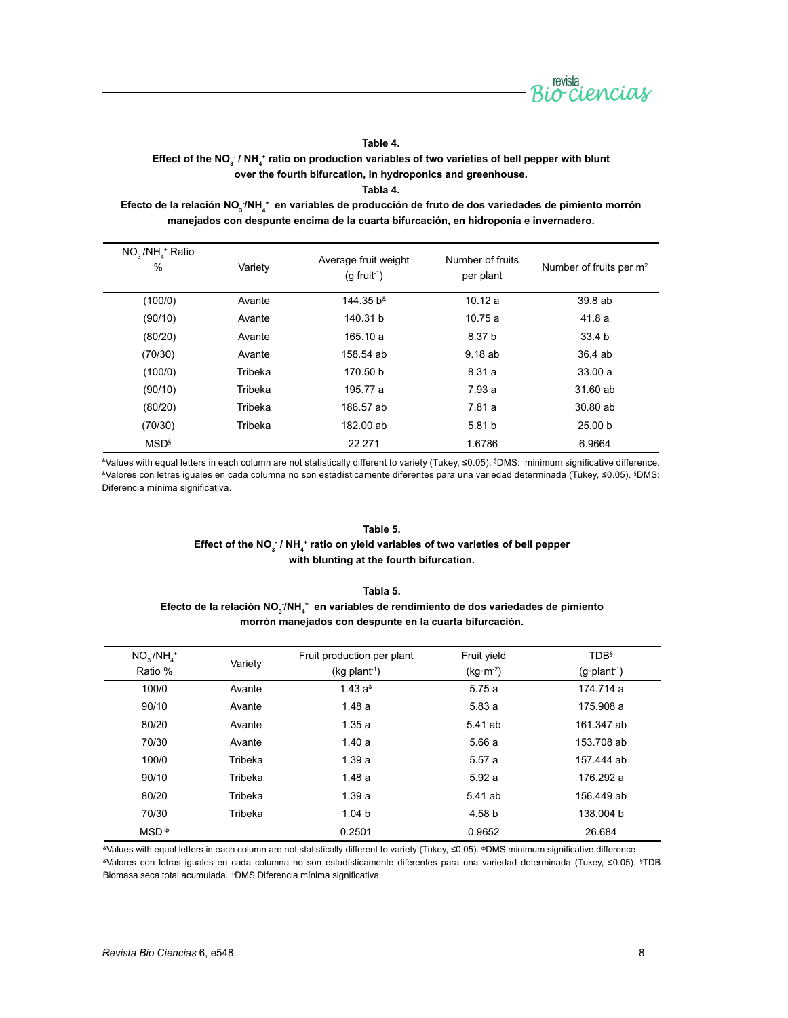

**Table 4.** 

Effect of the NO<sub>3</sub> / NH<sub>4</sub>  $^{\star}$  ratio on production variables of two varieties of bell pepper with blunt **over the fourth bifurcation, in hydroponics and greenhouse.**

**Tabla 4.** 

Efecto de la relación NO<sub>3</sub>ː/NH<sub>4</sub> + en variables de producción de fruto de dos variedades de pimiento morrón **manejados con despunte encima de la cuarta bifurcación, en hidroponía e invernadero.**

| $NO3/NH4$ Ratio<br>$\%$ | Variety | Average fruit weight<br>$(q$ fruit <sup>1</sup> ) | Number of fruits<br>per plant | Number of fruits per $m2$ |
|-------------------------|---------|---------------------------------------------------|-------------------------------|---------------------------|
| (100/0)                 | Avante  | 144.35 b <sup>&amp;</sup>                         | 10.12a                        | 39.8 ab                   |
| (90/10)                 | Avante  | 140.31 b                                          | 10.75a                        | 41.8 a                    |
| (80/20)                 | Avante  | 165.10 a                                          | 8.37 b                        | 33.4 b                    |
| (70/30)                 | Avante  | 158.54 ab                                         | 9.18 ab                       | 36.4 ab                   |
| (100/0)                 | Tribeka | 170.50 b                                          | 8.31 a                        | 33.00a                    |
| (90/10)                 | Tribeka | 195.77 a                                          | 7.93a                         | 31.60 ab                  |
| (80/20)                 | Tribeka | 186.57 ab                                         | 7.81 a                        | 30.80 ab                  |
| (70/30)                 | Tribeka | 182.00 ab                                         | 5.81 b                        | 25.00 <sub>b</sub>        |
| <b>MSD</b> <sup>§</sup> |         | 22.271                                            | 1.6786                        | 6.9664                    |

&Values with equal letters in each column are not statistically different to variety (Tukey, ≤0.05). §DMS: minimum significative difference. &Valores con letras iguales en cada columna no son estadísticamente diferentes para una variedad determinada (Tukey, ≤0.05). §DMS: Diferencia mínima significativa.

#### **Table 5.**

## Effect of the NO<sub>3</sub> / NH<sub>4</sub><sup>+</sup> ratio on yield variables of two varieties of bell pepper **with blunting at the fourth bifurcation.**

## **Tabla 5.**  Efecto de la relación NO<sub>3</sub><sup>/</sup>NH<sub>4</sub><sup>+</sup> en variables de rendimiento de dos variedades de pimiento **morrón manejados con despunte en la cuarta bifurcación.**

| $NO3/NH4$ <sup>+</sup> |         | Fruit production per plant  | Fruit yield | <b>TDB</b> <sup>§</sup> |
|------------------------|---------|-----------------------------|-------------|-------------------------|
| Ratio %                | Variety | $(kq$ plant <sup>-1</sup> ) | $(kg·m-2)$  | $(q\cdot plant^{-1})$   |
| 100/0                  | Avante  | $1.43a^4$                   | 5.75 a      | 174.714 a               |
| 90/10                  | Avante  | 1.48a                       | 5.83a       | 175.908 a               |
| 80/20                  | Avante  | 1.35a                       | 5.41 ab     | 161.347 ab              |
| 70/30                  | Avante  | 1.40a                       | 5.66a       | 153.708 ab              |
| 100/0                  | Tribeka | 1.39a                       | 5.57a       | 157.444 ab              |
| 90/10                  | Tribeka | 1.48a                       | 5.92a       | 176.292 a               |
| 80/20                  | Tribeka | 1.39a                       | 5.41 ab     | 156.449 ab              |
| 70/30                  | Tribeka | 1.04 <sub>b</sub>           | 4.58 b      | 138,004 b               |
| $MSD^{\Phi}$           |         | 0.2501                      | 0.9652      | 26.684                  |

&Values with equal letters in each column are not statistically different to variety (Tukey, ≤0.05). фDMS minimum significative difference. &Valores con letras iguales en cada columna no son estadísticamente diferentes para una variedad determinada (Tukey, ≤0.05). § TDB Biomasa seca total acumulada. фDMS Diferencia mínima significativa.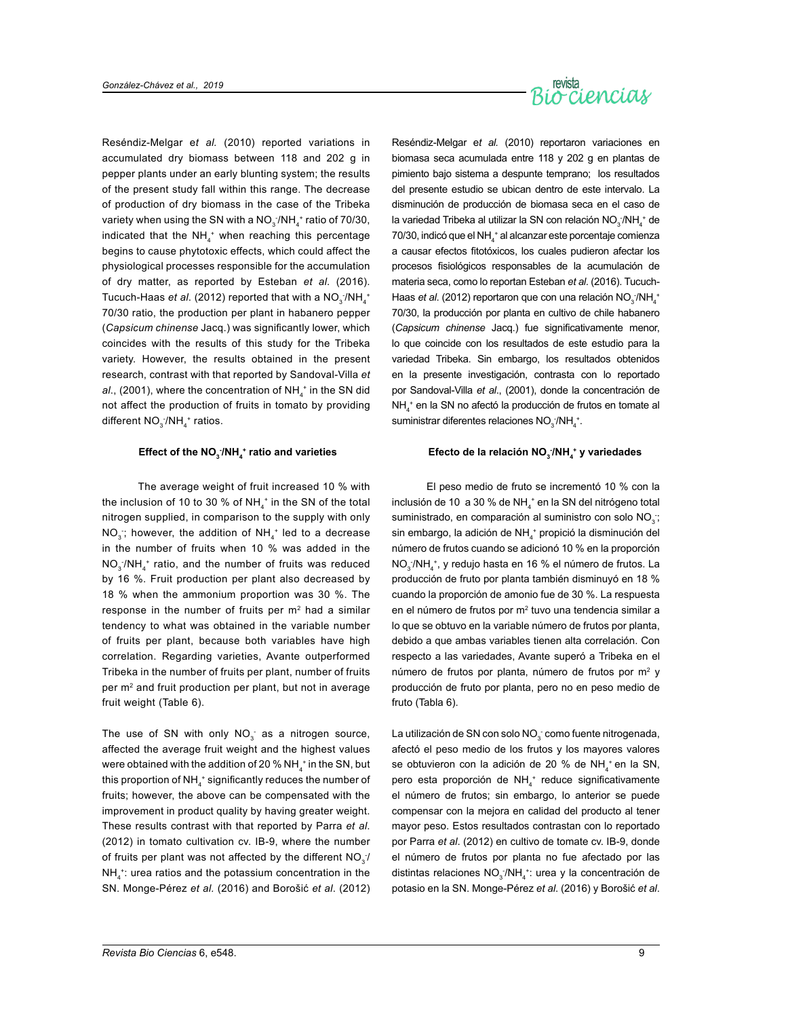

Reséndiz-Melgar e*t al.* (2010) reported variations in accumulated dry biomass between 118 and 202 g in pepper plants under an early blunting system; the results of the present study fall within this range. The decrease of production of dry biomass in the case of the Tribeka variety when using the SN with a NO $_3$ /NH $_4^{\,*}$ ratio of 70/30, indicated that the  $NH_4^+$  when reaching this percentage begins to cause phytotoxic effects, which could affect the physiological processes responsible for the accumulation of dry matter, as reported by Esteban *et al*. (2016). Tucuch-Haas *et al*. (2012) reported that with a NO<sub>3</sub> /NH<sub>4</sub>\* 70/30 ratio, the production per plant in habanero pepper (*Capsicum chinense* Jacq.) was significantly lower, which coincides with the results of this study for the Tribeka variety. However, the results obtained in the present research, contrast with that reported by Sandoval-Villa *et al.*, (2001), where the concentration of  $NH_4^+$  in the SN did not affect the production of fruits in tomato by providing different  $NO_{3}^{-}/NH_{4}^{+}$  ratios.

## **Effect of the NO3 - /NH4 + ratio and varieties**

The average weight of fruit increased 10 % with the inclusion of 10 to 30 % of NH $_4^+$  in the SN of the total nitrogen supplied, in comparison to the supply with only NO<sub>3</sub>; however, the addition of NH<sub>4</sub><sup>+</sup> led to a decrease in the number of fruits when 10 % was added in the  $NO<sub>3</sub> / NH<sub>4</sub>$  ratio, and the number of fruits was reduced by 16 %. Fruit production per plant also decreased by 18 % when the ammonium proportion was 30 %. The response in the number of fruits per  $m<sup>2</sup>$  had a similar tendency to what was obtained in the variable number of fruits per plant, because both variables have high correlation. Regarding varieties, Avante outperformed Tribeka in the number of fruits per plant, number of fruits per m<sup>2</sup> and fruit production per plant, but not in average fruit weight (Table 6).

The use of SN with only  $NO_3^-$  as a nitrogen source, affected the average fruit weight and the highest values were obtained with the addition of 20  $\%$  NH $_4^+$  in the SN, but this proportion of NH $_4^{\,+}$ significantly reduces the number of fruits; however, the above can be compensated with the improvement in product quality by having greater weight. These results contrast with that reported by Parra *et al*. (2012) in tomato cultivation cv. IB-9, where the number of fruits per plant was not affected by the different  $NO_{3}^{-}$  $NH<sub>4</sub><sup>+</sup>:$  urea ratios and the potassium concentration in the SN. Monge-Pérez *et al.* (2016) and Borošić *et al*. (2012)

Reséndiz-Melgar e*t al.* (2010) reportaron variaciones en biomasa seca acumulada entre 118 y 202 g en plantas de pimiento bajo sistema a despunte temprano; los resultados del presente estudio se ubican dentro de este intervalo. La disminución de producción de biomasa seca en el caso de la variedad Tribeka al utilizar la SN con relación  $NO<sub>3</sub> / NH<sub>4</sub>$ <sup>+</sup> de  $70/30$ , indicó que el NH $_4^+$ al alcanzar este porcentaje comienza a causar efectos fitotóxicos, los cuales pudieron afectar los procesos fisiológicos responsables de la acumulación de materia seca, como lo reportan Esteban *et al*. (2016). Tucuch-Haas *et al.* (2012) reportaron que con una relación NO<sub>3</sub>/NH<sub>4</sub><sup>+</sup> 70/30, la producción por planta en cultivo de chile habanero (*Capsicum chinense* Jacq.) fue significativamente menor, lo que coincide con los resultados de este estudio para la variedad Tribeka. Sin embargo, los resultados obtenidos en la presente investigación, contrasta con lo reportado por Sandoval-Villa *et al*., (2001), donde la concentración de NH4 + en la SN no afectó la producción de frutos en tomate al suministrar diferentes relaciones  $NO<sub>3</sub>/NH<sub>4</sub><sup>+</sup>$ .

## **Efecto de la relación NO3 - /NH4 + y variedades**

El peso medio de fruto se incrementó 10 % con la inclusión de 10 a 30 % de NH<sub>4</sub><sup>+</sup> en la SN del nitrógeno total suministrado, en comparación al suministro con solo  $NO<sub>3</sub>$ ; sin embargo, la adición de  $NH_4^+$  propició la disminución del número de frutos cuando se adicionó 10 % en la proporción NO<sub>3</sub>/NH<sub>4</sub><sup>+</sup>, y redujo hasta en 16 % el número de frutos. La producción de fruto por planta también disminuyó en 18 % cuando la proporción de amonio fue de 30 %. La respuesta en el número de frutos por  $m<sup>2</sup>$  tuvo una tendencia similar a lo que se obtuvo en la variable número de frutos por planta, debido a que ambas variables tienen alta correlación. Con respecto a las variedades, Avante superó a Tribeka en el número de frutos por planta, número de frutos por  $m<sup>2</sup>$  y producción de fruto por planta, pero no en peso medio de fruto (Tabla 6).

La utilización de SN con solo NO $_3^-$ como fuente nitrogenada, afectó el peso medio de los frutos y los mayores valores se obtuvieron con la adición de 20 % de NH<sub>4</sub><sup>+</sup> en la SN, pero esta proporción de  $NH_4^+$  reduce significativamente el número de frutos; sin embargo, lo anterior se puede compensar con la mejora en calidad del producto al tener mayor peso. Estos resultados contrastan con lo reportado por Parra *et al*. (2012) en cultivo de tomate cv. IB-9, donde el número de frutos por planta no fue afectado por las distintas relaciones  $NO_3/NH_4$ : urea y la concentración de potasio en la SN. Monge-Pérez *et al*. (2016) y Borošić *et al*.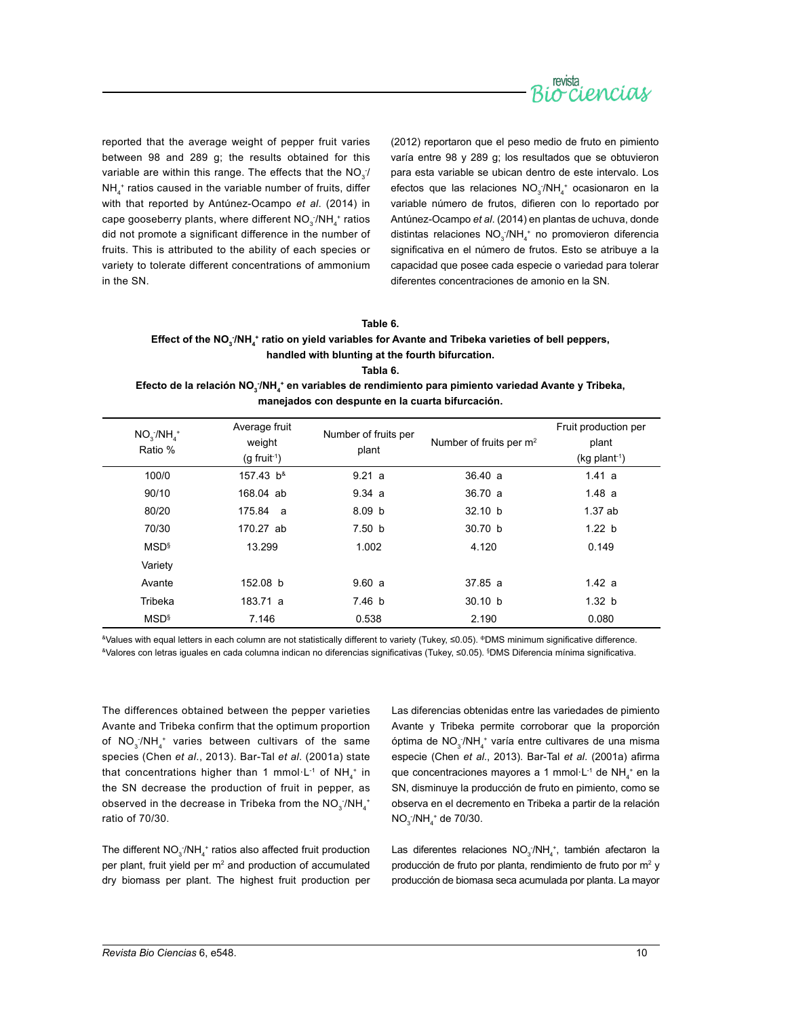

reported that the average weight of pepper fruit varies between 98 and 289 g; the results obtained for this variable are within this range. The effects that the NO<sub>3</sub>:  $NH_4^+$  ratios caused in the variable number of fruits, differ with that reported by Antúnez-Ocampo *et al*. (2014) in cape gooseberry plants, where different  $\mathsf{NO_3^{-}/NH_4^+}$  ratios did not promote a significant difference in the number of fruits. This is attributed to the ability of each species or variety to tolerate different concentrations of ammonium in the SN.

(2012) reportaron que el peso medio de fruto en pimiento varía entre 98 y 289 g; los resultados que se obtuvieron para esta variable se ubican dentro de este intervalo. Los efectos que las relaciones  $NO_{3}/NH_{4}^{+}$  ocasionaron en la variable número de frutos, difieren con lo reportado por Antúnez-Ocampo *et al*. (2014) en plantas de uchuva, donde distintas relaciones  $NO<sub>3</sub>/NH<sub>4</sub>$  no promovieron diferencia significativa en el número de frutos. Esto se atribuye a la capacidad que posee cada especie o variedad para tolerar diferentes concentraciones de amonio en la SN.

#### **Table 6.**

## Effect of the NO<sub>3</sub><sup>;</sup>/NH<sub>4</sub>\* ratio on yield variables for Avante and Tribeka varieties of bell peppers, **handled with blunting at the fourth bifurcation.**

**Tabla 6.** 

Efecto de la relación NO<sub>3</sub>/NH<sub>4</sub> • en variables de rendimiento para pimiento variedad Avante y Tribeka, **manejados con despunte en la cuarta bifurcación.**

| $NO3$ /NH <sub>4</sub> <sup>+</sup><br>Ratio % | Average fruit<br>weight<br>$(g$ fruit <sup>-1</sup> ) | Number of fruits per<br>plant | Number of fruits per m <sup>2</sup> | Fruit production per<br>plant<br>$(kq$ plant <sup>-1</sup> ) |
|------------------------------------------------|-------------------------------------------------------|-------------------------------|-------------------------------------|--------------------------------------------------------------|
| 100/0                                          | 157.43 b <sup>8</sup>                                 | 9.21 a                        | 36.40 a                             | 1.41 a                                                       |
| 90/10                                          | 168.04 ab                                             | 9.34 a                        | 36.70a                              | 1.48a                                                        |
| 80/20                                          | 175.84 a                                              | 8.09 <sub>b</sub>             | 32.10 b                             | 1.37ab                                                       |
| 70/30                                          | 170.27 ab                                             | 7.50 b                        | 30.70 b                             | 1.22 b                                                       |
| MSD <sup>§</sup>                               | 13.299                                                | 1.002                         | 4.120                               | 0.149                                                        |
| Variety                                        |                                                       |                               |                                     |                                                              |
| Avante                                         | 152.08 b                                              | 9.60a                         | 37.85a                              | 1.42a                                                        |
| Tribeka                                        | 183.71 a                                              | 7.46 b                        | 30.10 b                             | 1.32 b                                                       |
| MSD <sup>§</sup>                               | 7.146                                                 | 0.538                         | 2.190                               | 0.080                                                        |

&Values with equal letters in each column are not statistically different to variety (Tukey, ≤0.05). фDMS minimum significative difference. <sup>&</sup>Valores con letras iguales en cada columna indican no diferencias significativas (Tukey, ≤0.05). <sup>§</sup>DMS Diferencia mínima significativa.

The differences obtained between the pepper varieties Avante and Tribeka confirm that the optimum proportion of  $NO_3/NH_4^+$  varies between cultivars of the same species (Chen *et al*., 2013). Bar-Tal *et al*. (2001a) state that concentrations higher than 1 mmol $\cdot$ L<sup>-1</sup> of NH<sub>4</sub><sup>+</sup> in the SN decrease the production of fruit in pepper, as observed in the decrease in Tribeka from the  $\mathsf{NO}_{3}^{-}/\mathsf{NH}_{4}^{+}$ ratio of 70/30.

The different  $NO_3/NH_4^+$  ratios also affected fruit production per plant, fruit yield per m<sup>2</sup> and production of accumulated dry biomass per plant. The highest fruit production per Las diferencias obtenidas entre las variedades de pimiento Avante y Tribeka permite corroborar que la proporción óptima de NO<sub>3</sub>/NH<sub>4</sub><sup>+</sup> varía entre cultivares de una misma especie (Chen *et al*., 2013). Bar-Tal *et al*. (2001a) afirma que concentraciones mayores a 1 mmol·L<sup>-1</sup> de NH<sub>4</sub><sup>+</sup> en la SN, disminuye la producción de fruto en pimiento, como se observa en el decremento en Tribeka a partir de la relación  $NO_3/NH_4^+$  de 70/30.

Las diferentes relaciones  $NO_{3}^{-}/NH_{4}^{+}$ , también afectaron la producción de fruto por planta, rendimiento de fruto por m<sup>2</sup> y producción de biomasa seca acumulada por planta. La mayor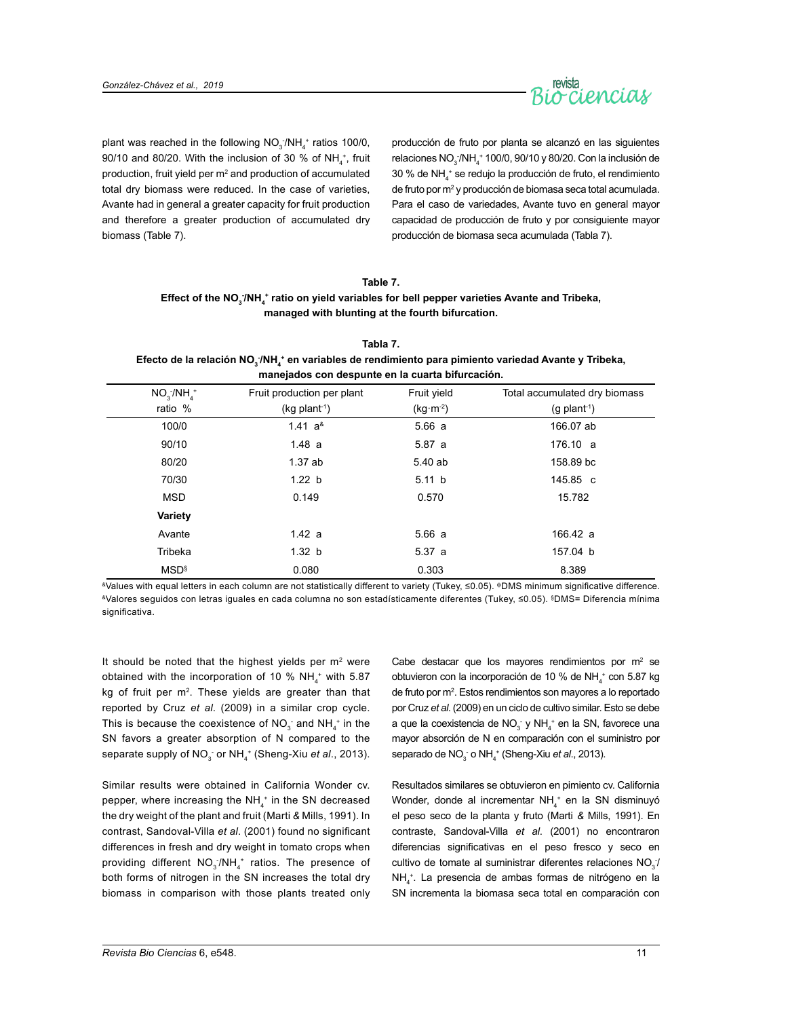

plant was reached in the following  $NO_3/NH_4^+$  ratios 100/0, 90/10 and 80/20. With the inclusion of 30 % of NH<sub>4</sub><sup>+</sup>, fruit production, fruit yield per  $m<sup>2</sup>$  and production of accumulated total dry biomass were reduced. In the case of varieties, Avante had in general a greater capacity for fruit production and therefore a greater production of accumulated dry biomass (Table 7).

producción de fruto por planta se alcanzó en las siguientes relaciones  $NO_3/NH_4^+$  100/0, 90/10 y 80/20. Con la inclusión de 30 % de NH4 + se redujo la producción de fruto, el rendimiento de fruto por m<sup>2</sup> y producción de biomasa seca total acumulada. Para el caso de variedades, Avante tuvo en general mayor capacidad de producción de fruto y por consiguiente mayor producción de biomasa seca acumulada (Tabla 7).

## **Table 7.**

## Effect of the NO<sub>3</sub><sup>/</sup>NH<sub>4</sub>\* ratio on yield variables for bell pepper varieties Avante and Tribeka, **managed with blunting at the fourth bifurcation.**

| Tabla 7.                                                                                                                                 |
|------------------------------------------------------------------------------------------------------------------------------------------|
| Efecto de la relación NO <sub>3</sub> /NH <sub>1</sub> <sup>+</sup> en variables de rendimiento para pimiento variedad Avante y Tribeka, |
| manejados con despunte en la cuarta bifurcación.                                                                                         |

| $NO_{3}^{-}/NH_{4}^{+}$ | Fruit production per plant  | Fruit yield | Total accumulated dry biomass |
|-------------------------|-----------------------------|-------------|-------------------------------|
| ratio %                 | $(kg$ plant <sup>-1</sup> ) | $(kg·m-2)$  | $(g$ plant <sup>-1</sup> )    |
| 100/0                   | 1.41 $a^8$                  | 5.66a       | 166.07 ab                     |
| 90/10                   | 1.48a                       | 5.87a       | 176.10 a                      |
| 80/20                   | 1.37ab                      | 5.40 ab     | 158.89 bc                     |
| 70/30                   | 1.22 b                      | 5.11 b      | 145.85 c                      |
| <b>MSD</b>              | 0.149                       | 0.570       | 15.782                        |
| Variety                 |                             |             |                               |
| Avante                  | 1.42 a                      | 5.66a       | 166.42 a                      |
| Tribeka                 | 1.32 b                      | 5.37 a      | 157.04 b                      |
| <b>MSD</b> <sup>§</sup> | 0.080                       | 0.303       | 8.389                         |

&Values with equal letters in each column are not statistically different to variety (Tukey, ≤0.05). фDMS minimum significative difference. &Valores seguidos con letras iguales en cada columna no son estadísticamente diferentes (Tukey, ≤0.05). §DMS= Diferencia mínima significativa.

It should be noted that the highest yields per  $m<sup>2</sup>$  were obtained with the incorporation of 10 %  $NH_4^+$  with 5.87 kg of fruit per m<sup>2</sup>. These yields are greater than that reported by Cruz *et al*. (2009) in a similar crop cycle. This is because the coexistence of  $NO_3^-$  and  $NH_4^+$  in the SN favors a greater absorption of N compared to the separate supply of NO<sub>3</sub><sup>-</sup> or NH<sub>4</sub><sup>+</sup> (Sheng-Xiu *et al*., 2013).

Similar results were obtained in California Wonder cv. pepper, where increasing the NH $_4^+$  in the SN decreased the dry weight of the plant and fruit (Marti *&* Mills, 1991). In contrast, Sandoval-Villa *et al*. (2001) found no significant differences in fresh and dry weight in tomato crops when providing different  $NO_{3}$  /NH<sub>4</sub><sup>+</sup> ratios. The presence of both forms of nitrogen in the SN increases the total dry biomass in comparison with those plants treated only

Cabe destacar que los mayores rendimientos por  $m<sup>2</sup>$  se obtuvieron con la incorporación de 10 % de NH<sub>4</sub><sup>+</sup> con 5.87 kg de fruto por m2 . Estos rendimientos son mayores a lo reportado por Cruz *et al*. (2009) en un ciclo de cultivo similar. Esto se debe a que la coexistencia de  $NO_3^-$  y  $NH_4^+$  en la SN, favorece una mayor absorción de N en comparación con el suministro por separado de NO<sub>3</sub> o NH<sub>4</sub><sup>+</sup> (Sheng-Xiu *et al.*, 2013).

Resultados similares se obtuvieron en pimiento cv. California Wonder, donde al incrementar  $NH<sub>4</sub>$  en la SN disminuyó el peso seco de la planta y fruto (Marti *&* Mills, 1991). En contraste, Sandoval-Villa *et al*. (2001) no encontraron diferencias significativas en el peso fresco y seco en cultivo de tomate al suministrar diferentes relaciones  $NO<sub>3</sub>$ NH4 +. La presencia de ambas formas de nitrógeno en la SN incrementa la biomasa seca total en comparación con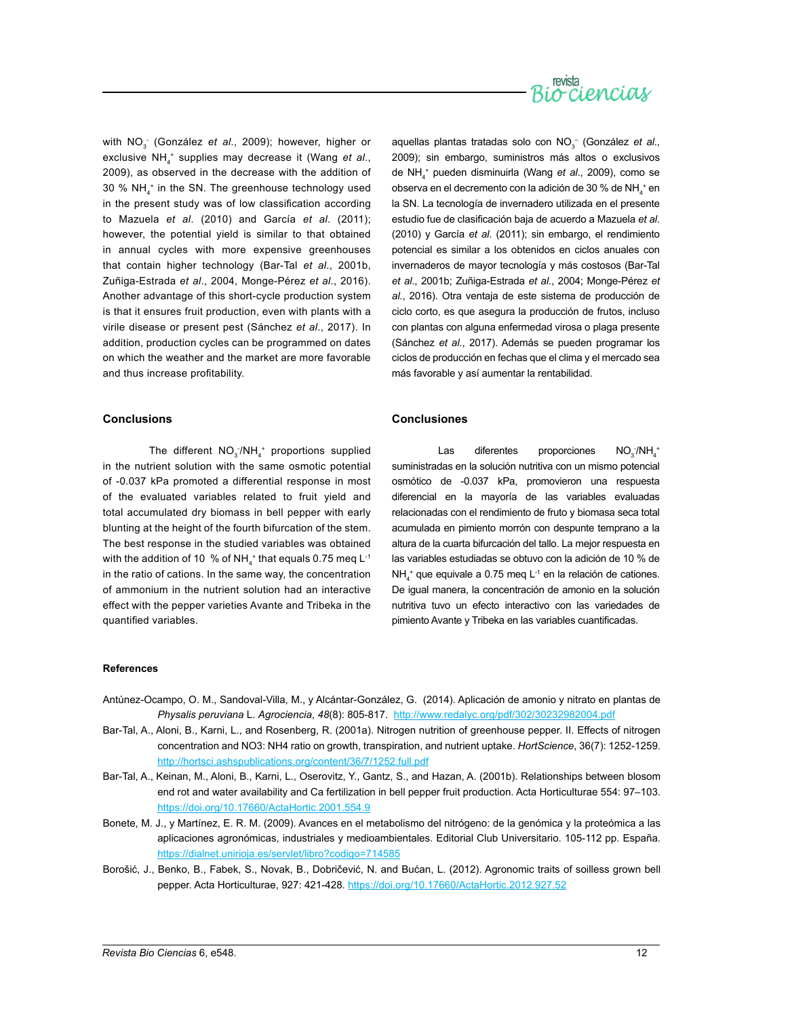

with NO<sub>3</sub> (González *et al*., 2009); however, higher or exclusive NH4 + supplies may decrease it (Wang *et al*., 2009), as observed in the decrease with the addition of 30 % NH4 + in the SN. The greenhouse technology used in the present study was of low classification according to Mazuela *et al*. (2010) and García *et al*. (2011); however, the potential yield is similar to that obtained in annual cycles with more expensive greenhouses that contain higher technology (Bar-Tal *et al*., 2001b, Zuñiga-Estrada *et al*., 2004, Monge-Pérez *et al*., 2016). Another advantage of this short-cycle production system is that it ensures fruit production, even with plants with a virile disease or present pest (Sánchez *et al*., 2017). In addition, production cycles can be programmed on dates on which the weather and the market are more favorable and thus increase profitability.

#### **Conclusions**

The different  $NO_{3}$ :/NH<sub>4</sub><sup>+</sup> proportions supplied in the nutrient solution with the same osmotic potential of -0.037 kPa promoted a differential response in most of the evaluated variables related to fruit yield and total accumulated dry biomass in bell pepper with early blunting at the height of the fourth bifurcation of the stem. The best response in the studied variables was obtained with the addition of 10  $\%$  of NH $_4^{\ast}$  that equals 0.75 meq L $^{\text{-}1}$ in the ratio of cations. In the same way, the concentration of ammonium in the nutrient solution had an interactive effect with the pepper varieties Avante and Tribeka in the quantified variables.

aquellas plantas tratadas solo con NO<sub>3</sub><sup>-</sup> (González *et al.*, 2009); sin embargo, suministros más altos o exclusivos de NH4 + pueden disminuirla (Wang *et al*., 2009), como se observa en el decremento con la adición de 30 % de NH<sub>4</sub><sup>+</sup> en la SN. La tecnología de invernadero utilizada en el presente estudio fue de clasificación baja de acuerdo a Mazuela *et al*. (2010) y García *et al*. (2011); sin embargo, el rendimiento potencial es similar a los obtenidos en ciclos anuales con invernaderos de mayor tecnología y más costosos (Bar-Tal *et al*., 2001b; Zuñiga-Estrada *et al*., 2004; Monge-Pérez *et al*., 2016). Otra ventaja de este sistema de producción de ciclo corto, es que asegura la producción de frutos, incluso con plantas con alguna enfermedad virosa o plaga presente (Sánchez *et al*., 2017). Además se pueden programar los ciclos de producción en fechas que el clima y el mercado sea más favorable y así aumentar la rentabilidad.

### **Conclusiones**

Las diferentes proporciones  $\frac{1}{4}$ /NH $\frac{1}{4}$ suministradas en la solución nutritiva con un mismo potencial osmótico de -0.037 kPa, promovieron una respuesta diferencial en la mayoría de las variables evaluadas relacionadas con el rendimiento de fruto y biomasa seca total acumulada en pimiento morrón con despunte temprano a la altura de la cuarta bifurcación del tallo. La mejor respuesta en las variables estudiadas se obtuvo con la adición de 10 % de  $NH<sub>4</sub><sup>+</sup>$  que equivale a 0.75 meq L<sup>-1</sup> en la relación de cationes. De igual manera, la concentración de amonio en la solución nutritiva tuvo un efecto interactivo con las variedades de pimiento Avante y Tribeka en las variables cuantificadas.

#### **References**

- Antúnez-Ocampo, O. M., Sandoval-Villa, M., y Alcántar-González, G. (2014). Aplicación de amonio y nitrato en plantas de *Physalis peruviana* L. *Agrociencia*, *48*(8): 805-817. <http://www.redalyc.org/pdf/302/30232982004.pdf>
- Bar-Tal, A., Aloni, B., Karni, L., and Rosenberg, R. (2001a). Nitrogen nutrition of greenhouse pepper. II. Effects of nitrogen concentration and NO3: NH4 ratio on growth, transpiration, and nutrient uptake. *HortScience*, 36(7): 1252-1259. <http://hortsci.ashspublications.org/content/36/7/1252.full.pdf>
- Bar-Tal, A., Keinan, M., Aloni, B., Karni, L., Oserovitz, Y., Gantz, S., and Hazan, A. (2001b). Relationships between blosom end rot and water availability and Ca fertilization in bell pepper fruit production. Acta Horticulturae 554: 97–103. <https://doi.org/10.17660/ActaHortic.2001.554.9>
- Bonete, M. J., y Martínez, E. R. M. (2009). Avances en el metabolismo del nitrógeno: de la genómica y la proteómica a las aplicaciones agronómicas, industriales y medioambientales. Editorial Club Universitario. 105-112 pp. España. <https://dialnet.unirioja.es/servlet/libro?codigo=714585>
- Borošić, J., Benko, B., Fabek, S., Novak, B., Dobričević, N. and Bućan, L. (2012). Agronomic traits of soilless grown bell pepper. Acta Horticulturae, 927: 421-428. <https://doi.org/10.17660/ActaHortic.2012.927.52>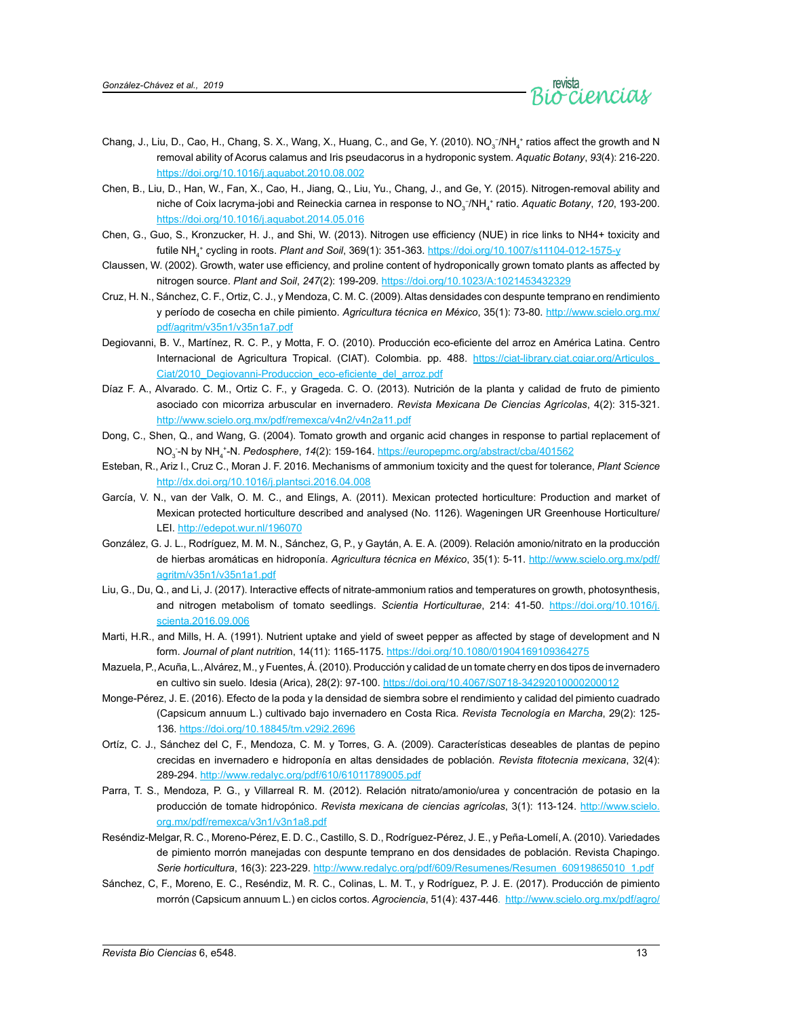

- Chang, J., Liu, D., Cao, H., Chang, S. X., Wang, X., Huang, C., and Ge, Y. (2010). NO<sub>3</sub><sup>-</sup>/NH<sub>4</sub><sup>+</sup> ratios affect the growth and N removal ability of Acorus calamus and Iris pseudacorus in a hydroponic system. *Aquatic Botany*, *93*(4): 216-220. <https://doi.org/10.1016/j.aquabot.2010.08.002>
- Chen, B., Liu, D., Han, W., Fan, X., Cao, H., Jiang, Q., Liu, Yu., Chang, J., and Ge, Y. (2015). Nitrogen-removal ability and niche of Coix lacryma-jobi and Reineckia carnea in response to NO<sub>3</sub><sup>−</sup>/NH<sub>4</sub><sup>+</sup> ratio. Aquatic Botany, 120, 193-200. <https://doi.org/10.1016/j.aquabot.2014.05.016>
- Chen, G., Guo, S., Kronzucker, H. J., and Shi, W. (2013). Nitrogen use efficiency (NUE) in rice links to NH4+ toxicity and futile NH4 + cycling in roots. *Plant and Soil*, 369(1): 351-363. <https://doi.org/10.1007/s11104-012-1575-y>
- Claussen, W. (2002). Growth, water use efficiency, and proline content of hydroponically grown tomato plants as affected by nitrogen source. *Plant and Soil*, *247*(2): 199-209. <https://doi.org/10.1023/A:1021453432329>
- Cruz, H. N., Sánchez, C. F., Ortiz, C. J., y Mendoza, C. M. C. (2009). Altas densidades con despunte temprano en rendimiento y período de cosecha en chile pimiento. *Agricultura técnica en México*, 35(1): 73-80. [http://www.scielo.org.mx/](http://www.scielo.org.mx/pdf/agritm/v35n1/v35n1a7.pdf) [pdf/agritm/v35n1/v35n1a7.pdf](http://www.scielo.org.mx/pdf/agritm/v35n1/v35n1a7.pdf)
- Degiovanni, B. V., Martínez, R. C. P., y Motta, F. O. (2010). Producción eco-eficiente del arroz en América Latina. Centro Internacional de Agricultura Tropical. (CIAT). Colombia. pp. 488. [https://ciat-library.ciat.cgiar.org/Articulos\\_](https://ciat-library.ciat.cgiar.org/Articulos_Ciat/2010_Degiovanni-Produccion_eco-eficiente_del_arroz.pdf) [Ciat/2010\\_Degiovanni-Produccion\\_eco-eficiente\\_del\\_arroz.pdf](https://ciat-library.ciat.cgiar.org/Articulos_Ciat/2010_Degiovanni-Produccion_eco-eficiente_del_arroz.pdf)
- Díaz F. A., Alvarado. C. M., Ortiz C. F., y Grageda. C. O. (2013). Nutrición de la planta y calidad de fruto de pimiento asociado con micorriza arbuscular en invernadero. *Revista Mexicana De Ciencias Agrícolas*, 4(2): 315-321. <http://www.scielo.org.mx/pdf/remexca/v4n2/v4n2a11.pdf>
- Dong, C., Shen, Q., and Wang, G. (2004). Tomato growth and organic acid changes in response to partial replacement of NO3 - -N by NH4 +-N. *Pedosphere*, *14*(2): 159-164. <https://europepmc.org/abstract/cba/401562>
- Esteban, R., Ariz I., Cruz C., Moran J. F. 2016. Mechanisms of ammonium toxicity and the quest for tolerance, *Plant Science* <http://dx.doi.org/10.1016/j.plantsci.2016.04.008>
- García, V. N., van der Valk, O. M. C., and Elings, A. (2011). Mexican protected horticulture: Production and market of Mexican protected horticulture described and analysed (No. 1126). Wageningen UR Greenhouse Horticulture/ LEI.<http://edepot.wur.nl/196070>
- González, G. J. L., Rodríguez, M. M. N., Sánchez, G, P., y Gaytán, A. E. A. (2009). Relación amonio/nitrato en la producción de hierbas aromáticas en hidroponía. *Agricultura técnica en México*, 35(1): 5-11. [http://www.scielo.org.mx/pdf/](http://www.scielo.org.mx/pdf/agritm/v35n1/v35n1a1.pdf) [agritm/v35n1/v35n1a1.pdf](http://www.scielo.org.mx/pdf/agritm/v35n1/v35n1a1.pdf)
- Liu, G., Du, Q., and Li, J. (2017). Interactive effects of nitrate-ammonium ratios and temperatures on growth, photosynthesis, and nitrogen metabolism of tomato seedlings. *Scientia Horticulturae*, 214: 41-50. [https://doi.org/10.1016/j.](https://doi.org/10.1016/j.scienta.2016.09.006) [scienta.2016.09.006](https://doi.org/10.1016/j.scienta.2016.09.006)
- Marti, H.R., and Mills, H. A. (1991). Nutrient uptake and yield of sweet pepper as affected by stage of development and N form. *Journal of plant nutritio*n, 14(11): 1165-1175. <https://doi.org/10.1080/01904169109364275>
- Mazuela, P., Acuña, L., Alvárez, M., y Fuentes, Á. (2010). Producción y calidad de un tomate cherry en dos tipos de invernadero en cultivo sin suelo. Idesia (Arica), 28(2): 97-100. <https://doi.org/10.4067/S0718-34292010000200012>
- Monge-Pérez, J. E. (2016). Efecto de la poda y la densidad de siembra sobre el rendimiento y calidad del pimiento cuadrado (Capsicum annuum L.) cultivado bajo invernadero en Costa Rica. *Revista Tecnología en Marcha*, 29(2): 125- 136. <https://doi.org/10.18845/tm.v29i2.2696>
- Ortíz, C. J., Sánchez del C, F., Mendoza, C. M. y Torres, G. A. (2009). Características deseables de plantas de pepino crecidas en invernadero e hidroponía en altas densidades de población. *Revista fitotecnia mexicana*, 32(4): 289-294. <http://www.redalyc.org/pdf/610/61011789005.pdf>
- Parra, T. S., Mendoza, P. G., y Villarreal R. M. (2012). Relación nitrato/amonio/urea y concentración de potasio en la producción de tomate hidropónico. *Revista mexicana de ciencias agrícolas*, 3(1): 113-124. [http://www.scielo.](http://www.scielo.org.mx/pdf/remexca/v3n1/v3n1a8.pdf) [org.mx/pdf/remexca/v3n1/v3n1a8.pdf](http://www.scielo.org.mx/pdf/remexca/v3n1/v3n1a8.pdf)
- Reséndiz-Melgar, R. C., Moreno-Pérez, E. D. C., Castillo, S. D., Rodríguez-Pérez, J. E., y Peña-Lomelí, A. (2010). Variedades de pimiento morrón manejadas con despunte temprano en dos densidades de población. Revista Chapingo. *Serie horticultura*, 16(3): 223-229. [http://www.redalyc.org/pdf/609/Resumenes/Resumen\\_60919865010\\_1.pdf](http://www.redalyc.org/pdf/609/Resumenes/Resumen_60919865010_1.pdf)
- Sánchez, C, F., Moreno, E. C., Reséndiz, M. R. C., Colinas, L. M. T., y Rodríguez, P. J. E. (2017). Producción de pimiento morrón (Capsicum annuum L.) en ciclos cortos*. Agrociencia*, 51(4): 437-446. [http://www.scielo.org.mx/pdf/agro/](http://www.scielo.org.mx/pdf/agro/v51n4/1405-3195-agro-51-04-00437.pdf)